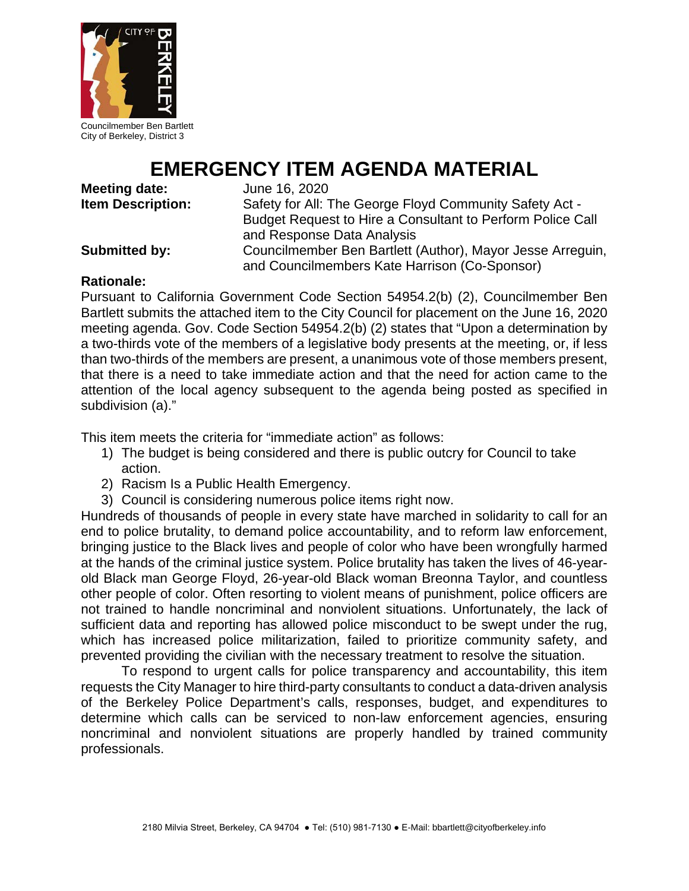

Councilmember Ben Bartlett City of Berkeley, District 3

# **EMERGENCY ITEM AGENDA MATERIAL**<br>the: June 16, 2020

**Meeting date:<br>Item Description:** 

Safety for All: The George Floyd Community Safety Act -Budget Request to Hire a Consultant to Perform Police Call and Response Data Analysis

**Submitted by:** Councilmember Ben Bartlett (Author), Mayor Jesse Arreguin, and Councilmembers Kate Harrison (Co-Sponsor)

## **Rationale:**

Pursuant to California Government Code Section 54954.2(b) (2), Councilmember Ben Bartlett submits the attached item to the City Council for placement on the June 16, 2020 meeting agenda. Gov. Code Section 54954.2(b) (2) states that "Upon a determination by a two-thirds vote of the members of a legislative body presents at the meeting, or, if less than two-thirds of the members are present, a unanimous vote of those members present, that there is a need to take immediate action and that the need for action came to the attention of the local agency subsequent to the agenda being posted as specified in subdivision (a)."

This item meets the criteria for "immediate action" as follows:

- 1) The budget is being considered and there is public outcry for Council to take action.
- 2) Racism Is a Public Health Emergency.
- 3) Council is considering numerous police items right now.

Hundreds of thousands of people in every state have marched in solidarity to call for an end to police brutality, to demand police accountability, and to reform law enforcement, bringing justice to the Black lives and people of color who have been wrongfully harmed at the hands of the criminal justice system. Police brutality has taken the lives of 46-yearold Black man George Floyd, 26-year-old Black woman Breonna Taylor, and countless other people of color. Often resorting to violent means of punishment, police officers are not trained to handle noncriminal and nonviolent situations. Unfortunately, the lack of sufficient data and reporting has allowed police misconduct to be swept under the rug, which has increased police militarization, failed to prioritize community safety, and prevented providing the civilian with the necessary treatment to resolve the situation.

To respond to urgent calls for police transparency and accountability, this item requests the City Manager to hire third-party consultants to conduct a data-driven analysis of the Berkeley Police Department's calls, responses, budget, and expenditures to determine which calls can be serviced to non-law enforcement agencies, ensuring noncriminal and nonviolent situations are properly handled by trained community professionals.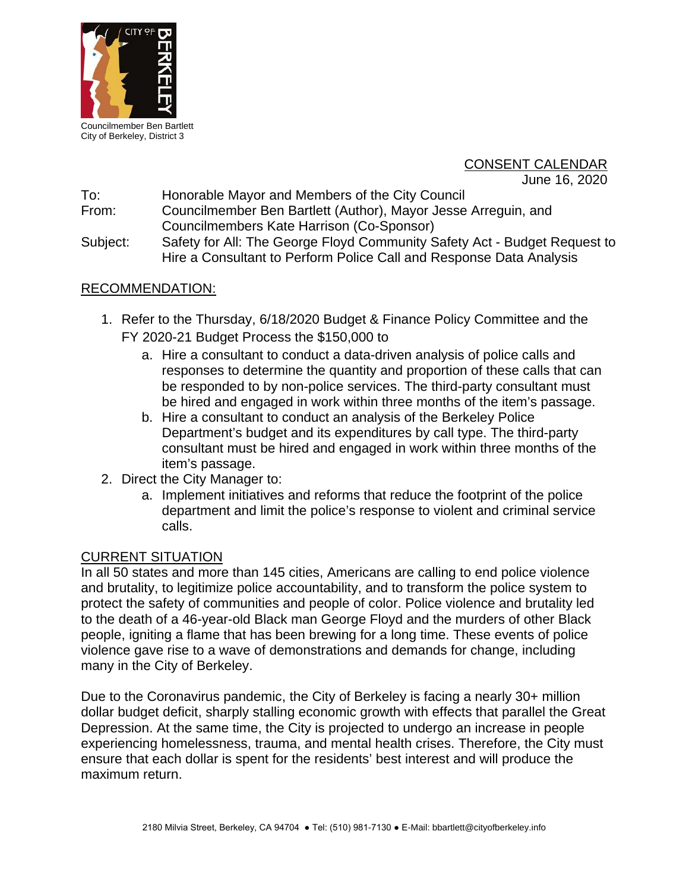

Councilmember Ben Bartlett City of Berkeley, District 3

# CONSENT CALENDAR

June 16, 2020

To: Honorable Mayor and Members of the City Council

From: Councilmember Ben Bartlett (Author), Mayor Jesse Arreguin, and Councilmembers Kate Harrison (Co-Sponsor)

Subject: Safety for All: The George Floyd Community Safety Act - Budget Request to Hire a Consultant to Perform Police Call and Response Data Analysis

# RECOMMENDATION:

- 1. Refer to the Thursday, 6/18/2020 Budget & Finance Policy Committee and the FY 2020-21 Budget Process the \$150,000 to
	- a. Hire a consultant to conduct a data-driven analysis of police calls and responses to determine the quantity and proportion of these calls that can be responded to by non-police services. The third-party consultant must be hired and engaged in work within three months of the item's passage.
	- b. Hire a consultant to conduct an analysis of the Berkeley Police Department's budget and its expenditures by call type. The third-party consultant must be hired and engaged in work within three months of the item's passage.
- 2. Direct the City Manager to:
	- a. Implement initiatives and reforms that reduce the footprint of the police department and limit the police's response to violent and criminal service calls.

## CURRENT SITUATION

In all 50 states and more than 145 cities, Americans are calling to end police violence and brutality, to legitimize police accountability, and to transform the police system to protect the safety of communities and people of color. Police violence and brutality led to the death of a 46-year-old Black man George Floyd and the murders of other Black people, igniting a flame that has been brewing for a long time. These events of police violence gave rise to a wave of demonstrations and demands for change, including many in the City of Berkeley.

Due to the Coronavirus pandemic, the City of Berkeley is facing a nearly 30+ million dollar budget deficit, sharply stalling economic growth with effects that parallel the Great Depression. At the same time, the City is projected to undergo an increase in people experiencing homelessness, trauma, and mental health crises. Therefore, the City must ensure that each dollar is spent for the residents' best interest and will produce the maximum return.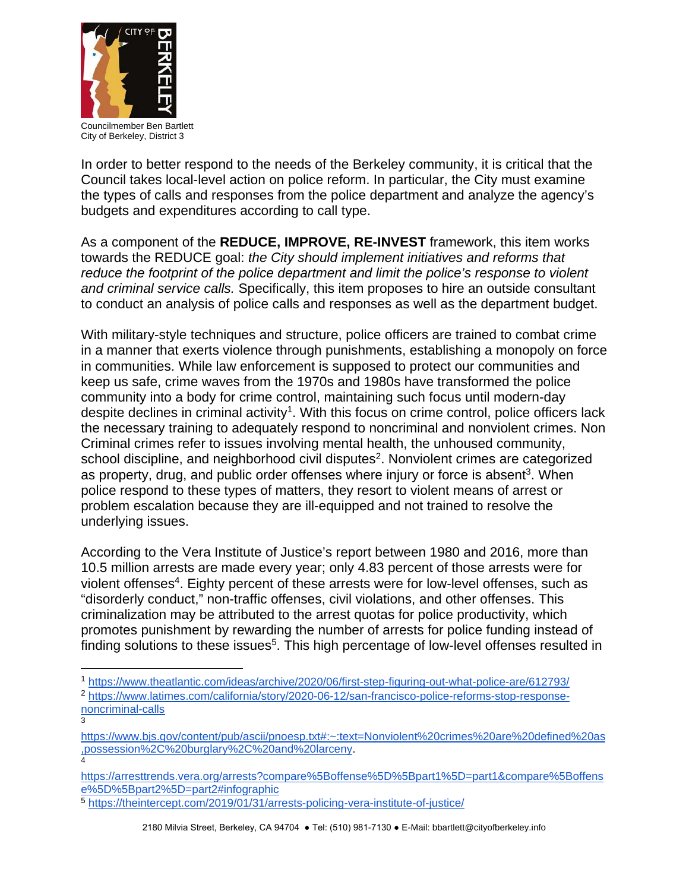

Councilmember Ben Bartlett City of Berkeley, District 3

In order to better respond to the needs of the Berkeley community, it is critical that the Council takes local-level action on police reform. In particular, the City must examine the types of calls and responses from the police department and analyze the agency's budgets and expenditures according to call type.

As a component of the **REDUCE, IMPROVE, RE-INVEST** framework, this item works towards the REDUCE goal: *the City should implement initiatives and reforms that reduce the footprint of the police department and limit the police's response to violent and criminal service calls.* Specifically, this item proposes to hire an outside consultant to conduct an analysis of police calls and responses as well as the department budget.

With military-style techniques and structure, police officers are trained to combat crime in a manner that exerts violence through punishments, establishing a monopoly on force in communities. While law enforcement is supposed to protect our communities and keep us safe, crime waves from the 1970s and 1980s have transformed the police community into a body for crime control, maintaining such focus until modern-day despite declines in criminal activity<sup>1</sup>. With this focus on crime control, police officers lack the necessary training to adequately respond to noncriminal and nonviolent crimes. Non Criminal crimes refer to issues involving mental health, the unhoused community, school discipline, and neighborhood civil disputes<sup>2</sup>. Nonviolent crimes are categorized as property, drug, and public order offenses where injury or force is absent<sup>3</sup>. When police respond to these types of matters, they resort to violent means of arrest or problem escalation because they are ill-equipped and not trained to resolve the underlying issues.

According to the Vera Institute of Justice's report between 1980 and 2016, more than 10.5 million arrests are made every year; only 4.83 percent of those arrests were for violent offenses<sup>4</sup>. Eighty percent of these arrests were for low-level offenses, such as "disorderly conduct," non-traffic offenses, civil violations, and other offenses. This criminalization may be attributed to the arrest quotas for police productivity, which promotes punishment by rewarding the number of arrests for police funding instead of finding solutions to these issues<sup>5</sup>. This high percentage of low-level offenses resulted in

- 1 <https://www.theatlantic.com/ideas/archive/2020/06/first-step-figuring-out-what-police-are/612793/>
- <sup>2</sup> [https://www.latimes.com/california/story/2020-06-12/san-francisco-police-reforms-stop-response](https://www.latimes.com/california/story/2020-06-12/san-francisco-police-reforms-stop-response-noncriminal-calls)[noncriminal-calls](https://www.latimes.com/california/story/2020-06-12/san-francisco-police-reforms-stop-response-noncriminal-calls) 3
- [https://www.bjs.gov/content/pub/ascii/pnoesp.txt#:~:text=Nonviolent%20crimes%20are%20defined%20as](https://www.bjs.gov/content/pub/ascii/pnoesp.txt#:%7E:text=Nonviolent%20crimes%20are%20defined%20as,possession%2C%20burglary%2C%20and%20larceny) [,possession%2C%20burglary%2C%20and%20larceny.](https://www.bjs.gov/content/pub/ascii/pnoesp.txt#:%7E:text=Nonviolent%20crimes%20are%20defined%20as,possession%2C%20burglary%2C%20and%20larceny) 4
- [https://arresttrends.vera.org/arrests?compare%5Boffense%5D%5Bpart1%5D=part1&compare%5Boffens](https://arresttrends.vera.org/arrests?compare%5Boffense%5D%5Bpart1%5D=part1&compare%5Boffense%5D%5Bpart2%5D=part2#infographic) [e%5D%5Bpart2%5D=part2#infographic](https://arresttrends.vera.org/arrests?compare%5Boffense%5D%5Bpart1%5D=part1&compare%5Boffense%5D%5Bpart2%5D=part2#infographic)

<sup>5</sup> <https://theintercept.com/2019/01/31/arrests-policing-vera-institute-of-justice/>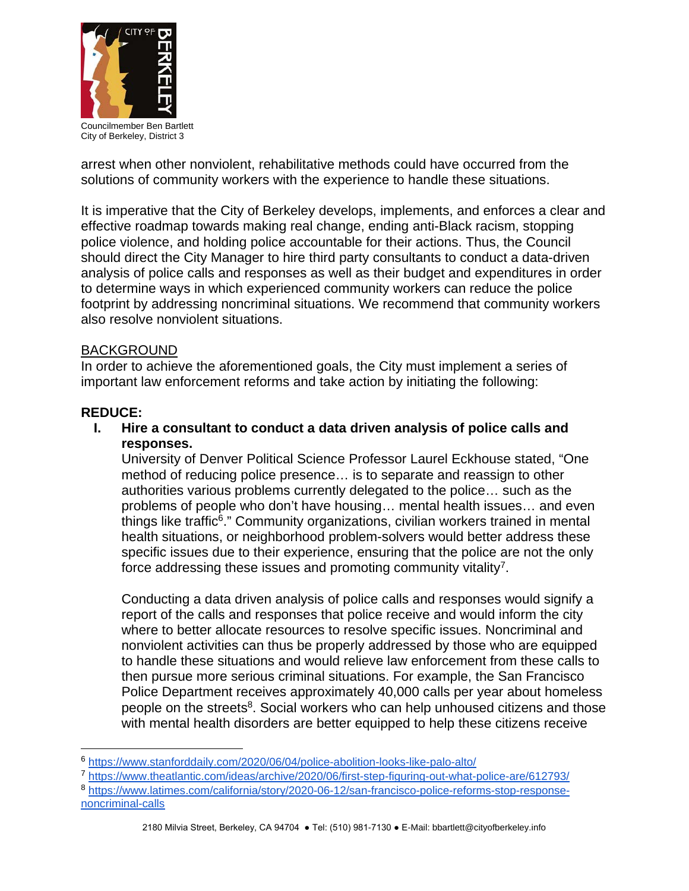

Councilmember Ben Bartlett City of Berkeley, District 3

arrest when other nonviolent, rehabilitative methods could have occurred from the solutions of community workers with the experience to handle these situations.

It is imperative that the City of Berkeley develops, implements, and enforces a clear and effective roadmap towards making real change, ending anti-Black racism, stopping police violence, and holding police accountable for their actions. Thus, the Council should direct the City Manager to hire third party consultants to conduct a data-driven analysis of police calls and responses as well as their budget and expenditures in order to determine ways in which experienced community workers can reduce the police footprint by addressing noncriminal situations. We recommend that community workers also resolve nonviolent situations.

#### BACKGROUND

In order to achieve the aforementioned goals, the City must implement a series of important law enforcement reforms and take action by initiating the following:

#### **REDUCE:**

**I. Hire a consultant to conduct a data driven analysis of police calls and responses.**

University of Denver Political Science Professor Laurel Eckhouse stated, "One method of reducing police presence… is to separate and reassign to other authorities various problems currently delegated to the police… such as the problems of people who don't have housing… mental health issues… and even things like traffic6." Community organizations, civilian workers trained in mental health situations, or neighborhood problem-solvers would better address these specific issues due to their experience, ensuring that the police are not the only force addressing these issues and promoting community vitality<sup>7</sup>.

Conducting a data driven analysis of police calls and responses would signify a report of the calls and responses that police receive and would inform the city where to better allocate resources to resolve specific issues. Noncriminal and nonviolent activities can thus be properly addressed by those who are equipped to handle these situations and would relieve law enforcement from these calls to then pursue more serious criminal situations. For example, the San Francisco Police Department receives approximately 40,000 calls per year about homeless people on the streets<sup>8</sup>. Social workers who can help unhoused citizens and those with mental health disorders are better equipped to help these citizens receive

<sup>8</sup> [https://www.latimes.com/california/story/2020-06-12/san-francisco-police-reforms-stop-response](https://www.latimes.com/california/story/2020-06-12/san-francisco-police-reforms-stop-response-noncriminal-calls)[noncriminal-calls](https://www.latimes.com/california/story/2020-06-12/san-francisco-police-reforms-stop-response-noncriminal-calls)

 <sup>6</sup> <https://www.stanforddaily.com/2020/06/04/police-abolition-looks-like-palo-alto/>

<sup>7</sup> <https://www.theatlantic.com/ideas/archive/2020/06/first-step-figuring-out-what-police-are/612793/>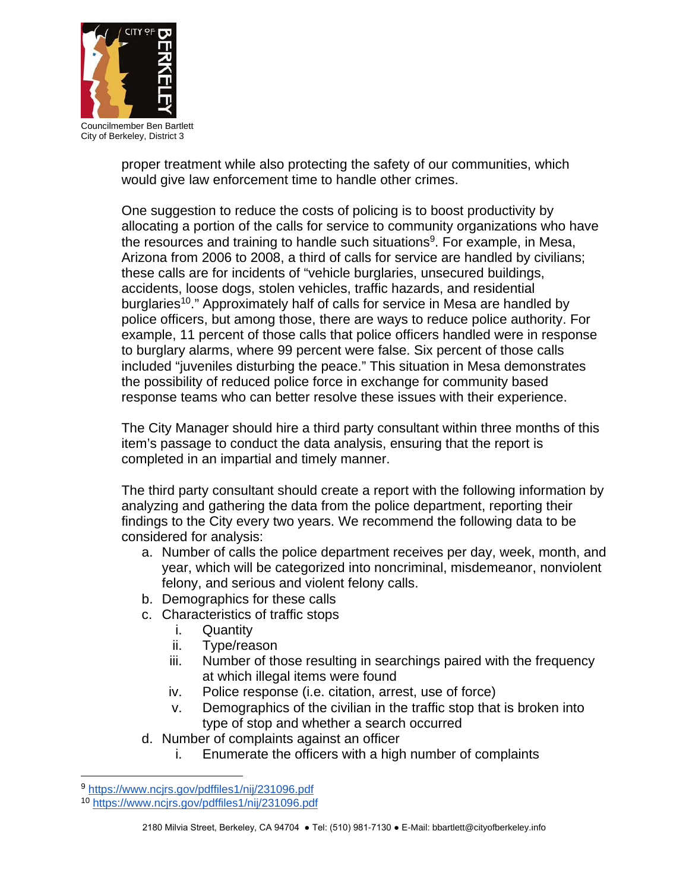

Councilmember Ben Bartlett City of Berkeley, District 3

proper treatment while also protecting the safety of our communities, which would give law enforcement time to handle other crimes.

One suggestion to reduce the costs of policing is to boost productivity by allocating a portion of the calls for service to community organizations who have the resources and training to handle such situations<sup>9</sup>. For example, in Mesa, Arizona from 2006 to 2008, a third of calls for service are handled by civilians; these calls are for incidents of "vehicle burglaries, unsecured buildings, accidents, loose dogs, stolen vehicles, traffic hazards, and residential burglaries<sup>10</sup>." Approximately half of calls for service in Mesa are handled by police officers, but among those, there are ways to reduce police authority. For example, 11 percent of those calls that police officers handled were in response to burglary alarms, where 99 percent were false. Six percent of those calls included "juveniles disturbing the peace." This situation in Mesa demonstrates the possibility of reduced police force in exchange for community based response teams who can better resolve these issues with their experience.

The City Manager should hire a third party consultant within three months of this item's passage to conduct the data analysis, ensuring that the report is completed in an impartial and timely manner.

The third party consultant should create a report with the following information by analyzing and gathering the data from the police department, reporting their findings to the City every two years. We recommend the following data to be considered for analysis:

- a. Number of calls the police department receives per day, week, month, and year, which will be categorized into noncriminal, misdemeanor, nonviolent felony, and serious and violent felony calls.
- b. Demographics for these calls
- c. Characteristics of traffic stops
	- i. Quantity
	- ii. Type/reason
	- iii. Number of those resulting in searchings paired with the frequency at which illegal items were found
	- iv. Police response (i.e. citation, arrest, use of force)
	- v. Demographics of the civilian in the traffic stop that is broken into type of stop and whether a search occurred
- d. Number of complaints against an officer
	- i. Enumerate the officers with a high number of complaints

<sup>9</sup> https://www.ncirs.gov/pdffiles1/nij/231096.pdf

<sup>10</sup> <https://www.ncjrs.gov/pdffiles1/nij/231096.pdf>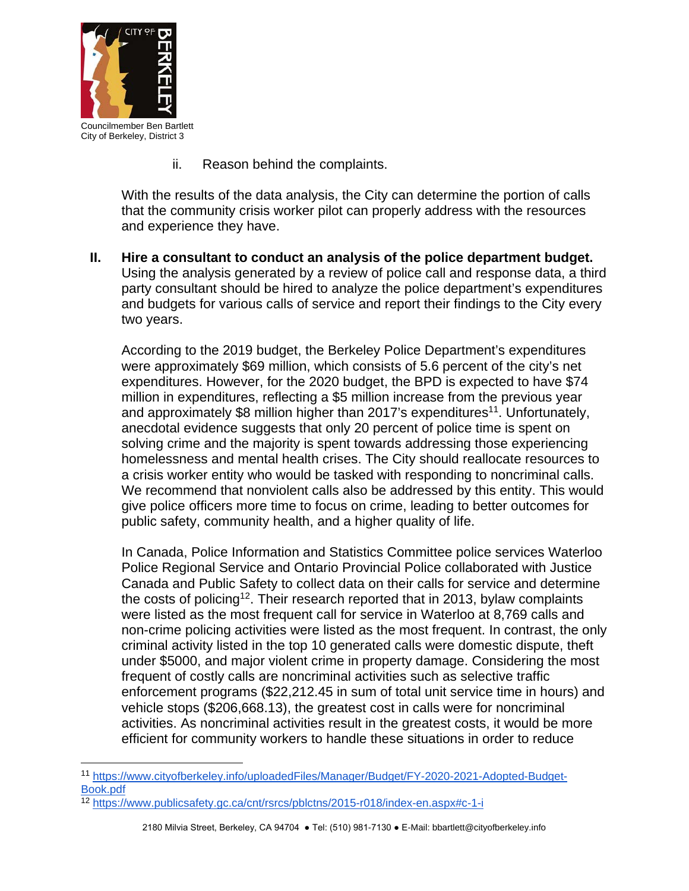

City of Berkeley, District 3

ii. Reason behind the complaints.

With the results of the data analysis, the City can determine the portion of calls that the community crisis worker pilot can properly address with the resources and experience they have.

**II. Hire a consultant to conduct an analysis of the police department budget.** Using the analysis generated by a review of police call and response data, a third party consultant should be hired to analyze the police department's expenditures and budgets for various calls of service and report their findings to the City every two years.

According to the 2019 budget, the Berkeley Police Department's expenditures were approximately \$69 million, which consists of 5.6 percent of the city's net expenditures. However, for the 2020 budget, the BPD is expected to have \$74 million in expenditures, reflecting a \$5 million increase from the previous year and approximately \$8 million higher than 2017's expenditures<sup>11</sup>. Unfortunately, anecdotal evidence suggests that only 20 percent of police time is spent on solving crime and the majority is spent towards addressing those experiencing homelessness and mental health crises. The City should reallocate resources to a crisis worker entity who would be tasked with responding to noncriminal calls. We recommend that nonviolent calls also be addressed by this entity. This would give police officers more time to focus on crime, leading to better outcomes for public safety, community health, and a higher quality of life.

In Canada, Police Information and Statistics Committee police services Waterloo Police Regional Service and Ontario Provincial Police collaborated with Justice Canada and Public Safety to collect data on their calls for service and determine the costs of policing<sup>12</sup>. Their research reported that in 2013, bylaw complaints were listed as the most frequent call for service in Waterloo at 8,769 calls and non-crime policing activities were listed as the most frequent. In contrast, the only criminal activity listed in the top 10 generated calls were domestic dispute, theft under \$5000, and major violent crime in property damage. Considering the most frequent of costly calls are noncriminal activities such as selective traffic enforcement programs (\$22,212.45 in sum of total unit service time in hours) and vehicle stops (\$206,668.13), the greatest cost in calls were for noncriminal activities. As noncriminal activities result in the greatest costs, it would be more efficient for community workers to handle these situations in order to reduce

 <sup>11</sup> [https://www.cityofberkeley.info/uploadedFiles/Manager/Budget/FY-2020-2021-Adopted-Budget-](https://www.cityofberkeley.info/uploadedFiles/Manager/Budget/FY-2020-2021-Adopted-Budget-Book.pdf)[Book.pdf](https://www.cityofberkeley.info/uploadedFiles/Manager/Budget/FY-2020-2021-Adopted-Budget-Book.pdf)

<sup>12</sup> <https://www.publicsafety.gc.ca/cnt/rsrcs/pblctns/2015-r018/index-en.aspx#c-1-i>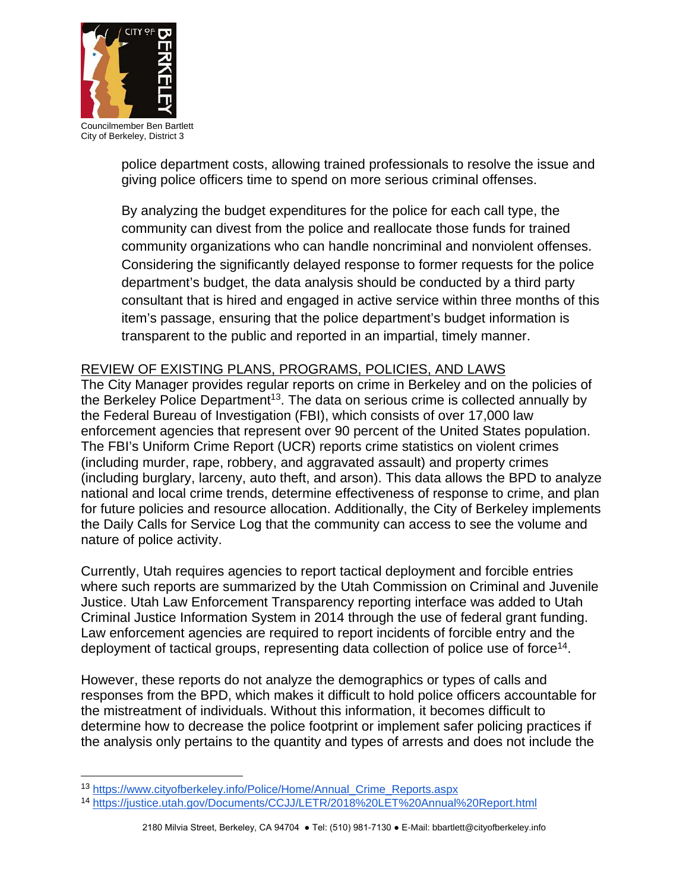

Councilmember Ben Bartlett City of Berkeley, District 3

police department costs, allowing trained professionals to resolve the issue and giving police officers time to spend on more serious criminal offenses.

By analyzing the budget expenditures for the police for each call type, the community can divest from the police and reallocate those funds for trained community organizations who can handle noncriminal and nonviolent offenses. Considering the significantly delayed response to former requests for the police department's budget, the data analysis should be conducted by a third party consultant that is hired and engaged in active service within three months of this item's passage, ensuring that the police department's budget information is transparent to the public and reported in an impartial, timely manner.

# REVIEW OF EXISTING PLANS, PROGRAMS, POLICIES, AND LAWS

The City Manager provides regular reports on crime in Berkeley and on the policies of the Berkeley Police Department<sup>13</sup>. The data on serious crime is collected annually by the Federal Bureau of Investigation (FBI), which consists of over 17,000 law enforcement agencies that represent over 90 percent of the United States population. The FBI's Uniform Crime Report (UCR) reports crime statistics on violent crimes (including murder, rape, robbery, and aggravated assault) and property crimes (including burglary, larceny, auto theft, and arson). This data allows the BPD to analyze national and local crime trends, determine effectiveness of response to crime, and plan for future policies and resource allocation. Additionally, the City of Berkeley implements the Daily Calls for Service Log that the community can access to see the volume and nature of police activity.

Currently, Utah requires agencies to report tactical deployment and forcible entries where such reports are summarized by the Utah Commission on Criminal and Juvenile Justice. Utah Law Enforcement Transparency reporting interface was added to Utah Criminal Justice Information System in 2014 through the use of federal grant funding. Law enforcement agencies are required to report incidents of forcible entry and the deployment of tactical groups, representing data collection of police use of force<sup>14</sup>.

However, these reports do not analyze the demographics or types of calls and responses from the BPD, which makes it difficult to hold police officers accountable for the mistreatment of individuals. Without this information, it becomes difficult to determine how to decrease the police footprint or implement safer policing practices if the analysis only pertains to the quantity and types of arrests and does not include the

 <sup>13</sup> [https://www.cityofberkeley.info/Police/Home/Annual\\_Crime\\_Reports.aspx](https://www.cityofberkeley.info/Police/Home/Annual_Crime_Reports.aspx)

<sup>14</sup> <https://justice.utah.gov/Documents/CCJJ/LETR/2018%20LET%20Annual%20Report.html>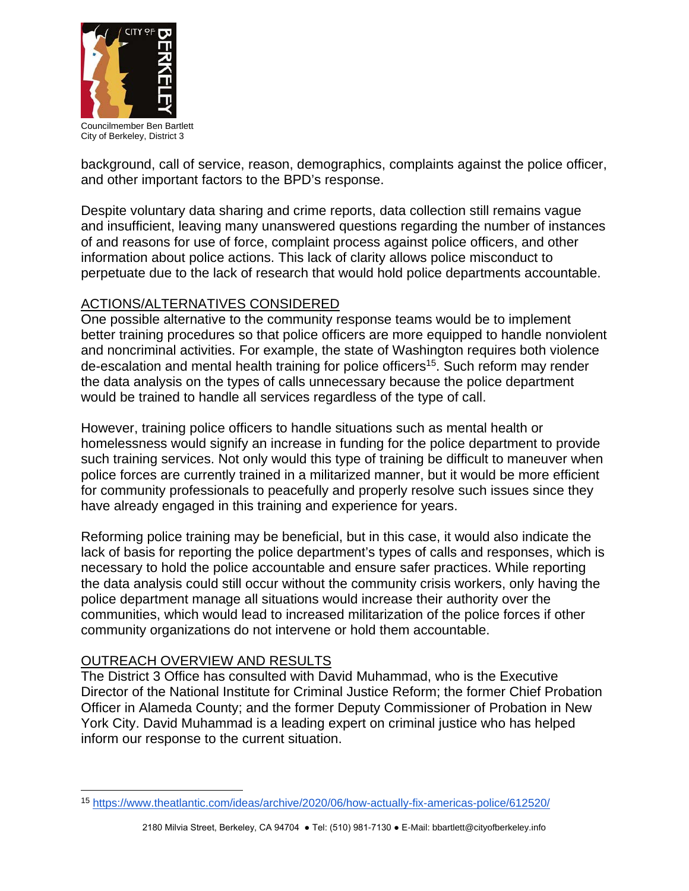

Councilmember Ben Bartlett City of Berkeley, District 3

background, call of service, reason, demographics, complaints against the police officer, and other important factors to the BPD's response.

Despite voluntary data sharing and crime reports, data collection still remains vague and insufficient, leaving many unanswered questions regarding the number of instances of and reasons for use of force, complaint process against police officers, and other information about police actions. This lack of clarity allows police misconduct to perpetuate due to the lack of research that would hold police departments accountable.

# ACTIONS/ALTERNATIVES CONSIDERED

One possible alternative to the community response teams would be to implement better training procedures so that police officers are more equipped to handle nonviolent and noncriminal activities. For example, the state of Washington requires both violence de-escalation and mental health training for police officers<sup>15</sup>. Such reform may render the data analysis on the types of calls unnecessary because the police department would be trained to handle all services regardless of the type of call.

However, training police officers to handle situations such as mental health or homelessness would signify an increase in funding for the police department to provide such training services. Not only would this type of training be difficult to maneuver when police forces are currently trained in a militarized manner, but it would be more efficient for community professionals to peacefully and properly resolve such issues since they have already engaged in this training and experience for years.

Reforming police training may be beneficial, but in this case, it would also indicate the lack of basis for reporting the police department's types of calls and responses, which is necessary to hold the police accountable and ensure safer practices. While reporting the data analysis could still occur without the community crisis workers, only having the police department manage all situations would increase their authority over the communities, which would lead to increased militarization of the police forces if other community organizations do not intervene or hold them accountable.

## OUTREACH OVERVIEW AND RESULTS

The District 3 Office has consulted with David Muhammad, who is the Executive Director of the National Institute for Criminal Justice Reform; the former Chief Probation Officer in Alameda County; and the former Deputy Commissioner of Probation in New York City. David Muhammad is a leading expert on criminal justice who has helped inform our response to the current situation.

 <sup>15</sup> <https://www.theatlantic.com/ideas/archive/2020/06/how-actually-fix-americas-police/612520/>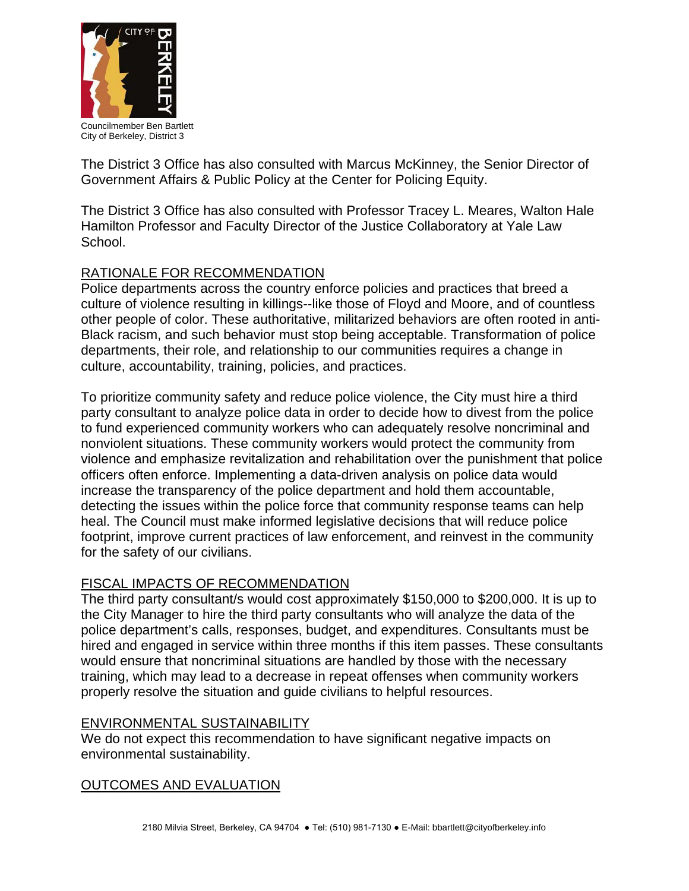

Councilmember Ben Bartlett City of Berkeley, District 3

The District 3 Office has also consulted with Marcus McKinney, the Senior Director of Government Affairs & Public Policy at the Center for Policing Equity.

The District 3 Office has also consulted with Professor Tracey L. Meares, Walton Hale Hamilton Professor and Faculty Director of the Justice Collaboratory at Yale Law School.

# RATIONALE FOR RECOMMENDATION

Police departments across the country enforce policies and practices that breed a culture of violence resulting in killings--like those of Floyd and Moore, and of countless other people of color. These authoritative, militarized behaviors are often rooted in anti-Black racism, and such behavior must stop being acceptable. Transformation of police departments, their role, and relationship to our communities requires a change in culture, accountability, training, policies, and practices.

To prioritize community safety and reduce police violence, the City must hire a third party consultant to analyze police data in order to decide how to divest from the police to fund experienced community workers who can adequately resolve noncriminal and nonviolent situations. These community workers would protect the community from violence and emphasize revitalization and rehabilitation over the punishment that police officers often enforce. Implementing a data-driven analysis on police data would increase the transparency of the police department and hold them accountable, detecting the issues within the police force that community response teams can help heal. The Council must make informed legislative decisions that will reduce police footprint, improve current practices of law enforcement, and reinvest in the community for the safety of our civilians.

# FISCAL IMPACTS OF RECOMMENDATION

The third party consultant/s would cost approximately \$150,000 to \$200,000. It is up to the City Manager to hire the third party consultants who will analyze the data of the police department's calls, responses, budget, and expenditures. Consultants must be hired and engaged in service within three months if this item passes. These consultants would ensure that noncriminal situations are handled by those with the necessary training, which may lead to a decrease in repeat offenses when community workers properly resolve the situation and guide civilians to helpful resources.

## ENVIRONMENTAL SUSTAINABILITY

We do not expect this recommendation to have significant negative impacts on environmental sustainability.

# OUTCOMES AND EVALUATION